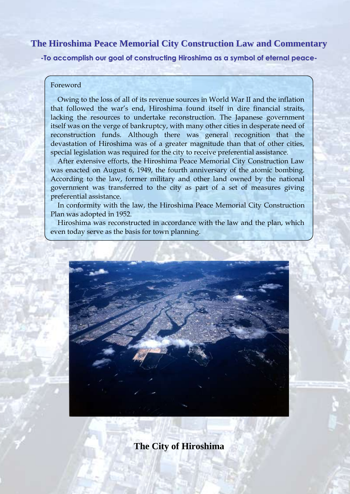# **The Hiroshima Peace Memorial City Construction Law and Commentary**

**-To accomplish our goal of constructing Hiroshima as a symbol of eternal peace-**

## Foreword

Owing to the loss of all of its revenue sources in World War II and the inflation that followed the war's end, Hiroshima found itself in dire financial straits, lacking the resources to undertake reconstruction. The Japanese government itself was on the verge of bankruptcy, with many other cities in desperate need of reconstruction funds. Although there was general recognition that the devastation of Hiroshima was of a greater magnitude than that of other cities, special legislation was required for the city to receive preferential assistance.

After extensive efforts, the Hiroshima Peace Memorial City Construction Law was enacted on August 6, 1949, the fourth anniversary of the atomic bombing. According to the law, former military and other land owned by the national government was transferred to the city as part of a set of measures giving preferential assistance.

In conformity with the law, the Hiroshima Peace Memorial City Construction Plan was adopted in 1952.

Hiroshima was reconstructed in accordance with the law and the plan, which even today serve as the basis for town planning.



**The City of Hiroshima**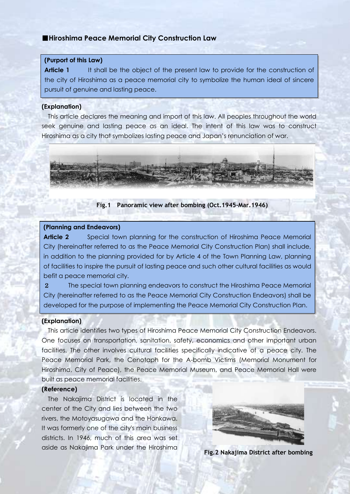# ■**Hiroshima Peace Memorial City Construction Law**

### **(Purport of this Law)**

**Article 1** It shall be the object of the present law to provide for the construction of the city of Hiroshima as a peace memorial city to symbolize the human ideal of sincere pursuit of genuine and lasting peace.

#### **(Explanation)**

This article declares the meaning and import of this law. All peoples throughout the world seek genuine and lasting peace as an ideal. The intent of this law was to construct Hiroshima as a city that symbolizes lasting peace and Japan's renunciation of war.



#### **Fig.1 Panoramic view after bombing (Oct.1945-Mar.1946)**

#### **(Planning and Endeavors)**

**Article 2** Special town planning for the construction of Hiroshima Peace Memorial City (hereinafter referred to as the Peace Memorial City Construction Plan) shall include, in addition to the planning provided for by Article 4 of the Town Planning Law, planning of facilities to inspire the pursuit of lasting peace and such other cultural facilities as would befit a peace memorial city.

2 The special town planning endeavors to construct the Hiroshima Peace Memorial City (hereinafter referred to as the Peace Memorial City Construction Endeavors) shall be developed for the purpose of implementing the Peace Memorial City Construction Plan.

### **(Explanation)**

This article identifies two types of Hiroshima Peace Memorial City Construction Endeavors. One focuses on transportation, sanitation, safety, economics and other important urban facilities. The other involves cultural facilities specifically indicative of a peace city. The Peace Memorial Park, the Cenotaph for the A-bomb Victims (Memorial Monument for Hiroshima, City of Peace), the Peace Memorial Museum, and Peace Memorial Hall were built as peace memorial facilities.

#### **(Reference)**

The Nakajima District is located in the center of the City and lies between the two rivers, the Motoyasugawa and the Honkawa. It was formerly one of the city's main business districts. In 1946, much of this area was set aside as Nakajima Park under the Hiroshima



**Fig.2 Nakajima District after bombing**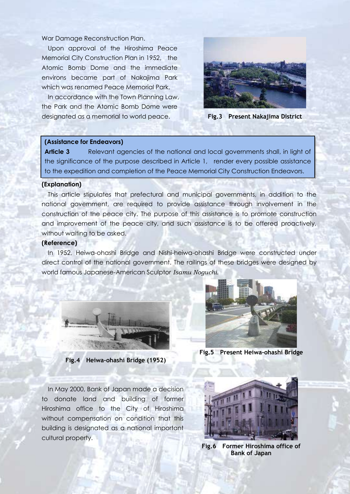War Damage Reconstruction Plan.

 Upon approval of the Hiroshima Peace Memorial City Construction Plan in 1952, the Atomic Bomb Dome and the immediate environs became part of Nakajima Park which was renamed Peace Memorial Park.

In accordance with the Town Planning Law, the Park and the Atomic Bomb Dome were designated as a memorial to world peace.





#### **(Assistance for Endeavors)**

**Article 3** Relevant agencies of the national and local governments shall, in light of the significance of the purpose described in Article 1, render every possible assistance to the expedition and completion of the Peace Memorial City Construction Endeavors.

#### **(Explanation)**

This article stipulates that prefectural and municipal governments, in addition to the national government, are required to provide assistance through involvement in the construction of the peace city. The purpose of this assistance is to promote construction and improvement of the peace city, and such assistance is to be offered proactively, without waiting to be asked.

#### **(Reference)**

In 1952, Heiwa-ohashi Bridge and Nishi-heiwa-ohashi Bridge were constructed under direct control of the national government. The railings of these bridges were designed by world famous Japanese-American Sculptor *Isamu Noguchi*.



**Fig.4 Heiwa-ohashi Bridge (1952)**



**Fig.5 Present Heiwa-ohashi Bridge**

In May 2000, Bank of Japan made a decision to donate land and building of former Hiroshima office to the City of Hiroshima without compensation on condition that this building is designated as a national important cultural property.



**Fig.6 Former Hiroshima office of Bank of Japan**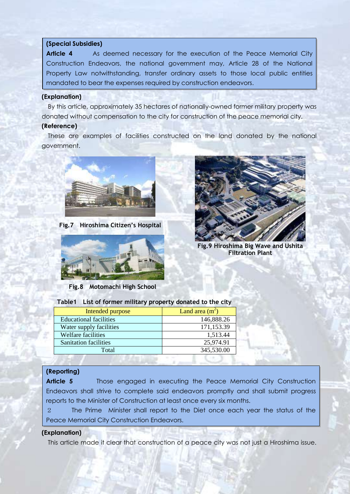### **(Special Subsidies)**

**Article 4** As deemed necessary for the execution of the Peace Memorial City Construction Endeavors, the national government may, Article 28 of the National Property Law notwithstanding, transfer ordinary assets to those local public entities mandated to bear the expenses required by construction endeavors.

### **(Explanation)**

By this article, approximately 35 hectares of nationally-owned former military property was donated without compensation to the city for construction of the peace memorial city.

### **(Reference)**

These are examples of facilities constructed on the land donated by the national government.



**Fig.7 Hiroshima Citizen's Hospital**



**Fig.8 Motomachi High School**



**Fig.9 Hiroshima Big Wave and Ushita Filtration Plant**

| Intended purpose              | Land area $(m^2)$ |  |
|-------------------------------|-------------------|--|
| <b>Educational facilities</b> | 146,888.26        |  |
| Water supply facilities       | 171,153.39        |  |
| <b>Welfare facilities</b>     | 1,513.44          |  |
| <b>Sanitation facilities</b>  | 25,974.91         |  |
| Total                         | 345,530.00        |  |

### **Table1 List of former military property donated to the city**

# **(Reporting)**

**Article 5** Those engaged in executing the Peace Memorial City Construction Endeavors shall strive to complete said endeavors promptly and shall submit progress reports to the Minister of Construction at least once every six months.

2 The Prime Minister shall report to the Diet once each year the status of the Peace Memorial City Construction Endeavors.

### **(Explanation)**

This article made it clear that construction of a peace city was not just a Hiroshima issue.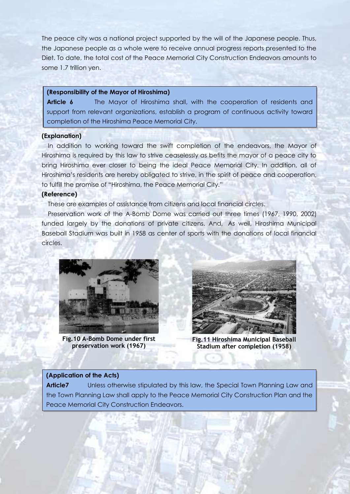The peace city was a national project supported by the will of the Japanese people. Thus, the Japanese people as a whole were to receive annual progress reports presented to the Diet. To date, the total cost of the Peace Memorial City Construction Endeavors amounts to some 1.7 trillion yen.

### **(Responsibility of the Mayor of Hiroshima)**

**Article 6** The Mayor of Hiroshima shall, with the cooperation of residents and support from relevant organizations, establish a program of continuous activity toward completion of the Hiroshima Peace Memorial City.

### **(Explanation)**

In addition to working toward the swift completion of the endeavors, the Mayor of Hiroshima is required by this law to strive ceaselessly as befits the mayor of a peace city to bring Hiroshima ever closer to being the ideal Peace Memorial City. In addition, all of Hiroshima's residents are hereby obligated to strive, in the spirit of peace and cooperation, to fulfill the promise of "Hiroshima, the Peace Memorial City."

# **(Reference)**

These are examples of assistance from citizens and local financial circles.

Preservation work of the A-Bomb Dome was carried out three times (1967, 1990, 2002) funded largely by the donations of private citizens. And, As well, Hiroshima Municipal Baseball Stadium was built in 1958 as center of sports with the donations of local financial circles.



**Fig.10 A-Bomb Dome under first preservation work (1967)**



**Fig.11 Hiroshima Municipal Baseball Stadium after completion (1958)**

## **(Application of the Acts)**

**Article7** Unless otherwise stipulated by this law, the Special Town Planning Law and the Town Planning Law shall apply to the Peace Memorial City Construction Plan and the Peace Memorial City Construction Endeavors.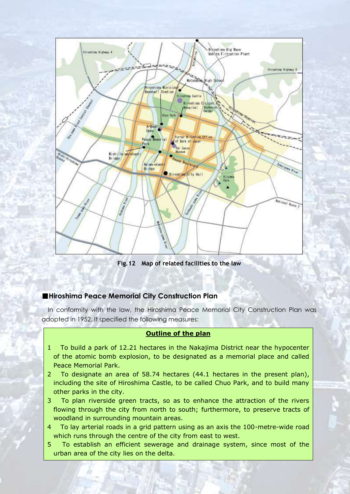

**Fig.12 Map of related facilities to the law**

# ■**Hiroshima Peace Memorial City Construction Plan**

In conformity with the law, the Hiroshima Peace Memorial City Construction Plan was adopted in 1952. It specified the following measures:

# **Outline of the plan**

- 1 To build a park of 12.21 hectares in the Nakajima District near the hypocenter of the atomic bomb explosion, to be designated as a memorial place and called Peace Memorial Park.
- 2 To designate an area of 58.74 hectares (44.1 hectares in the present plan), including the site of Hiroshima Castle, to be called Chuo Park, and to build many other parks in the city.
- 3 To plan riverside green tracts, so as to enhance the attraction of the rivers flowing through the city from north to south; furthermore, to preserve tracts of woodland in surrounding mountain areas.
- 4 To lay arterial roads in a grid pattern using as an axis the 100-metre-wide road which runs through the centre of the city from east to west.
- 5 To establish an efficient sewerage and drainage system, since most of the urban area of the city lies on the delta.